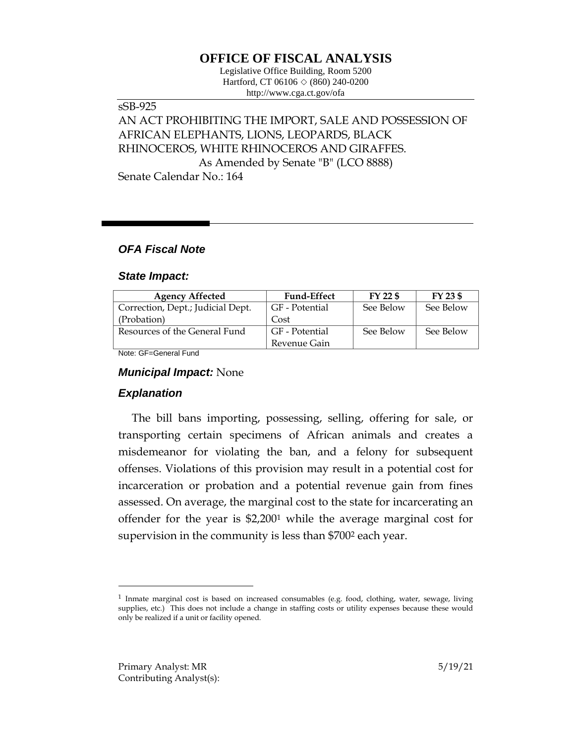## **OFFICE OF FISCAL ANALYSIS**

Legislative Office Building, Room 5200 Hartford, CT 06106 ◇ (860) 240-0200 http://www.cga.ct.gov/ofa

# sSB-925 AN ACT PROHIBITING THE IMPORT, SALE AND POSSESSION OF AFRICAN ELEPHANTS, LIONS, LEOPARDS, BLACK RHINOCEROS, WHITE RHINOCEROS AND GIRAFFES. As Amended by Senate "B" (LCO 8888)

Senate Calendar No.: 164

### *OFA Fiscal Note*

#### *State Impact:*

| <b>Agency Affected</b>            | <b>Fund-Effect</b> | FY 22 \$  | FY 23 \$  |
|-----------------------------------|--------------------|-----------|-----------|
| Correction, Dept.; Judicial Dept. | GF - Potential     | See Below | See Below |
| (Probation)                       | Cost               |           |           |
| Resources of the General Fund     | GF - Potential     | See Below | See Below |
|                                   | Revenue Gain       |           |           |

Note: GF=General Fund

#### *Municipal Impact:* None

## *Explanation*

The bill bans importing, possessing, selling, offering for sale, or transporting certain specimens of African animals and creates a misdemeanor for violating the ban, and a felony for subsequent offenses. Violations of this provision may result in a potential cost for incarceration or probation and a potential revenue gain from fines assessed. On average, the marginal cost to the state for incarcerating an offender for the year is \$2,200<sup>1</sup> while the average marginal cost for supervision in the community is less than \$700<sup>2</sup> each year.

 $\overline{a}$ 

<sup>&</sup>lt;sup>1</sup> Inmate marginal cost is based on increased consumables (e.g. food, clothing, water, sewage, living supplies, etc.) This does not include a change in staffing costs or utility expenses because these would only be realized if a unit or facility opened.